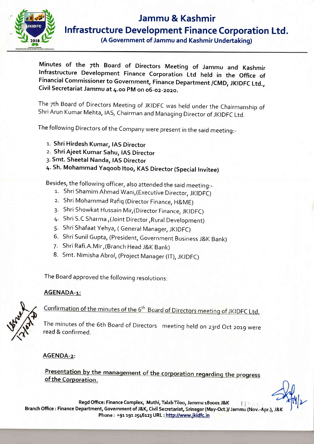

# Jammu & Kashmir lnfrastructure Development Finance Corporation Ltd.

(A Government of Jammu and Kashmir Undertaking)

Minutes of the zth Board of Directors Meeting of Jammu and Kashmir lnfrastructure Development Finance corporation Ltd held in the office of Financial commissioner to Government, Finance Department /cMD, JKIDFc Ltd., Civil Secretariat Jammu at 4.oo pM on o6-oz\_zozo.

The 7th Board of Directors Meeting of JKIDFC was held under the Chairmanship of<br>Shri Arun Kumar Mehta, IAS, Chairman and Managing Director of JKIDFC Ltd.

The following Directors of the company were present in the said meeting:\_

- 1. Shri Hirdesh Kumar, IAS Director
- 2. Shri Ajeet Kumar Sahu, IAS Director
- 3. Smt. Sheetal Nanda, IAS Director
- 4. Sh. Mohammad Yaqoob Itoo, KAS Director (Special Invitee)

Besides, the following officer, also attended the said meeting:-

- 1. Shri Shamim Ahmad Wani,(Executive Director, JKIDFC)
- 2. Shri Mohammad Rafiq (Director Finance, H&ME)
- 3. Shri Showkat Hussain Mir, (Director Finance, JKIDFC)
- 4. Shri 5.C Sharma,(Joint Director,Rural Development)
- 5. Shri Shafaat yehya, ( General Manager, JKIDFC)
- 6. shri sunil Gupta, (president, Government Business i&K Bank)
- 7. Shri Rafi.A.Mir,(Branch Head J&K Bank)
- 8. Smt. Nimisha Abrol, (Project Manager (IT), JKIDFC)

The Board approved the following resolutions:

# AGENADA-1:



Confirmation of the minutes of the 6<sup>th</sup> Board of Directors meeting of JKIDFC Ltd.

The minutes of the 6th Board of Directors meeting held on 23rd Oct 2019 were read & confirmed.

AGENDA-z:

Presentation by the management of the corporation regarding the progress of the Corporation.

Regd Office: Finance Complex, Muthi, Talab Tiloo, Jammu 180001 J&K  $HP, m$ Branch Office : Finance Department, Government of J&K, Civil Secretariat, Srinagar (May-Oct.)/ Jammu (Nov.-Apr.), J&K Phone: +91 191 2546123 URL : http://www.jkidfc.in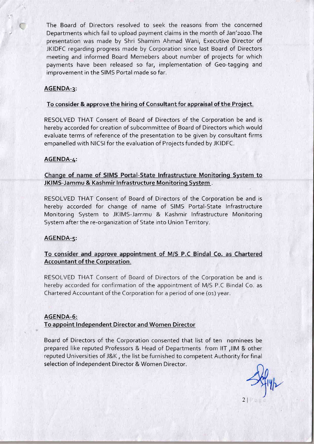The Board of Directors resolved to seek the reasons from the concerned Departments which fail to upload payment claims in the month of Jan'2020. The presentation was made by Shri Shamim Ahmad Wani, Executive Director of JKIDFC regarding progress made by Corporation since last Board of Directors meeting and informed Board Memebers about number of projects for which payments have been released so far, implementation of Geo-tagging and improvement in the SIMS Portal made so far.

## AGENDA-3:

#### To consider & approve the hiring of Consultant for appraisal of the Project.

RESOLVED THAT Consent of Board of Directors of the Corporation be and is hereby accorded for creation of subcommittee of Board of Directors which would evaluate terms of reference of the presentation to be given by consultant firms empanelled with NICSI for the evaluation of Projects funded by JKIDFC.

## AGENDA-4:

## Change of name of SIMS Portal-State Infrastructure Monitoring System to JKIMS-Jammu & Kashmir lnfrastructure Monitoring System .

RESOLVED THAT Consent of Board of Directors of the Corporation be and is hereby accorded for change of name of SIMS Portal-State lnfrastructure Monitoring System to JKIMS-Jammu & Kashmir Infrastructure Monitoring System after the re-organization of State into Union Territory.

#### AGENDA-S:

## To consider and approve appointment of M/S P.C Bindal Co. as Chartered Accountant of the Corporation.

RESOLVED THAT Consent of Board of Directors of the Corporation be and is hereby accorded for confirmation of the appointment of M/S P.C Bindal Co. as Chartered Accountant of the Corporation for a period of one (01) year.

#### AGENDA-6:

#### To appoint lndependent Director and Women Director

Board of Directors of the Corporation consented that list of ten nominees be prepared like reputed Professors & Head of Departments from llT,llM & other reputed Universities of J&K , the list be furnished to competent Authority for final selection of lndependent Director & Women Director.

2l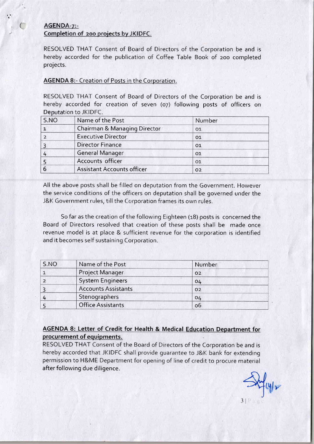# AGENDA-7:-Completion of 200 projects by JKIDFC.

t

(

RESOLVED THAT Consent of Board of Directors of the Corporation be and is hereby accorded for the publication of Coffee Table Book of zoo completed projects.

## AGENDA 8:- Creation of Posts in the Corporation.

RESOLVED THAT Consent of Board of Directors of the Corporation be and is hereby accorded for creation of seven (07) following posts of officers on Deputation to JKIDFC.

| S.NO | Name of the Post                  | Number         |
|------|-----------------------------------|----------------|
|      | Chairman & Managing Director      | 01             |
|      | <b>Executive Director</b>         | 01             |
|      | <b>Director Finance</b>           | O <sub>1</sub> |
|      | General Manager                   | 01             |
|      | Accounts officer                  | O <sub>1</sub> |
|      | <b>Assistant Accounts officer</b> | O <sub>2</sub> |

All the above posts shall be filled on deputation from the Government. However the service conditions of the officers on deputation shall be governed under the J&K Government rules, till the Corporation frames its own rules.

So far as the creation of the following Eighteen (18) posts is concerned the Board of Directors resolved that creation of these posts shall be made once revenue model is at place & sufficient revenue for the corporation is identified and it becomes self sustaining Corporation.

| S.NO | Name of the Post           | Number         |
|------|----------------------------|----------------|
|      | Project Manager            | O <sub>2</sub> |
|      | <b>System Engineers</b>    | 04             |
|      | <b>Accounts Assistants</b> | O <sub>2</sub> |
|      | Stenographers              | 04             |
|      | <b>Office Assistants</b>   | 06             |

# AGENDA 8: Letter of Credit for Health & Medical Education Department for procurement of equipments.

RESOLVED THAT Consent of the Board of Directors of the Corporation be and is hereby accorded that JKIDFC shall provide guarantee to J&K bank for extending permission to H&ME Department for opening of line of credit to procure material after following due diligence.

 $3$ | P